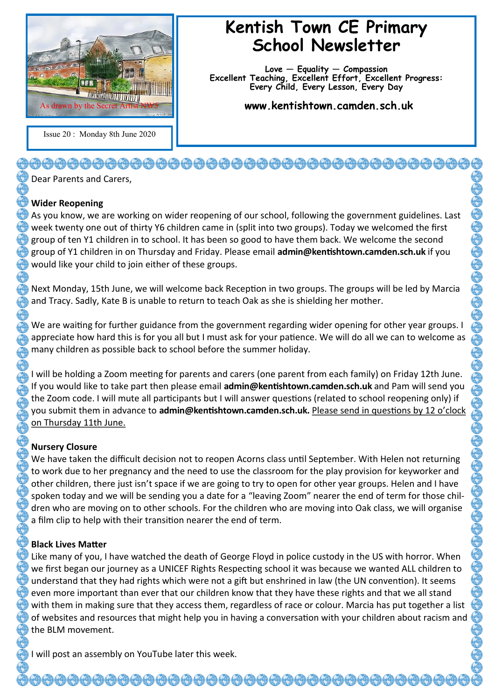

Issue 20 : Monday 8th June 2020

## **Kentish Town CE Primary School Newsletter**

**Love — Equality — Compassion Excellent Teaching, Excellent Effort, Excellent Progress: Every Child, Every Lesson, Every Day**

**www.kentishtown.camden.sch.uk** 

Dear Parents and Carers,

## **Wider Reopening**

As you know, we are working on wider reopening of our school, following the government guidelines. Last week twenty one out of thirty Y6 children came in (split into two groups). Today we welcomed the first group of ten Y1 children in to school. It has been so good to have them back. We welcome the second group of Y1 children in on Thursday and Friday. Please email **admin@kentishtown.camden.sch.uk** if you would like your child to join either of these groups.

Next Monday, 15th June, we will welcome back Reception in two groups. The groups will be led by Marcia and Tracy. Sadly, Kate B is unable to return to teach Oak as she is shielding her mother.

We are waiting for further guidance from the government regarding wider opening for other year groups. I appreciate how hard this is for you all but I must ask for your patience. We will do all we can to welcome as many children as possible back to school before the summer holiday.

I will be holding a Zoom meeting for parents and carers (one parent from each family) on Friday 12th June. If you would like to take part then please email **admin@kentishtown.camden.sch.uk** and Pam will send you the Zoom code. I will mute all participants but I will answer questions (related to school reopening only) if you submit them in advance to **admin@kentishtown.camden.sch.uk.** Please send in questions by 12 o'clock on Thursday 11th June.

## **Nursery Closure**

We have taken the difficult decision not to reopen Acorns class until September. With Helen not returning to work due to her pregnancy and the need to use the classroom for the play provision for keyworker and other children, there just isn't space if we are going to try to open for other year groups. Helen and I have spoken today and we will be sending you a date for a "leaving Zoom" nearer the end of term for those children who are moving on to other schools. For the children who are moving into Oak class, we will organise a film clip to help with their transition nearer the end of term.

## **Black Lives Matter**

Like many of you, I have watched the death of George Floyd in police custody in the US with horror. When we first began our journey as a UNICEF Rights Respecting school it was because we wanted ALL children to understand that they had rights which were not a gift but enshrined in law (the UN convention). It seems even more important than ever that our children know that they have these rights and that we all stand with them in making sure that they access them, regardless of race or colour. Marcia has put together a list of websites and resources that might help you in having a conversation with your children about racism and the BLM movement.

<del>0000000000000000000000000</del>

I will post an assembly on YouTube later this week.